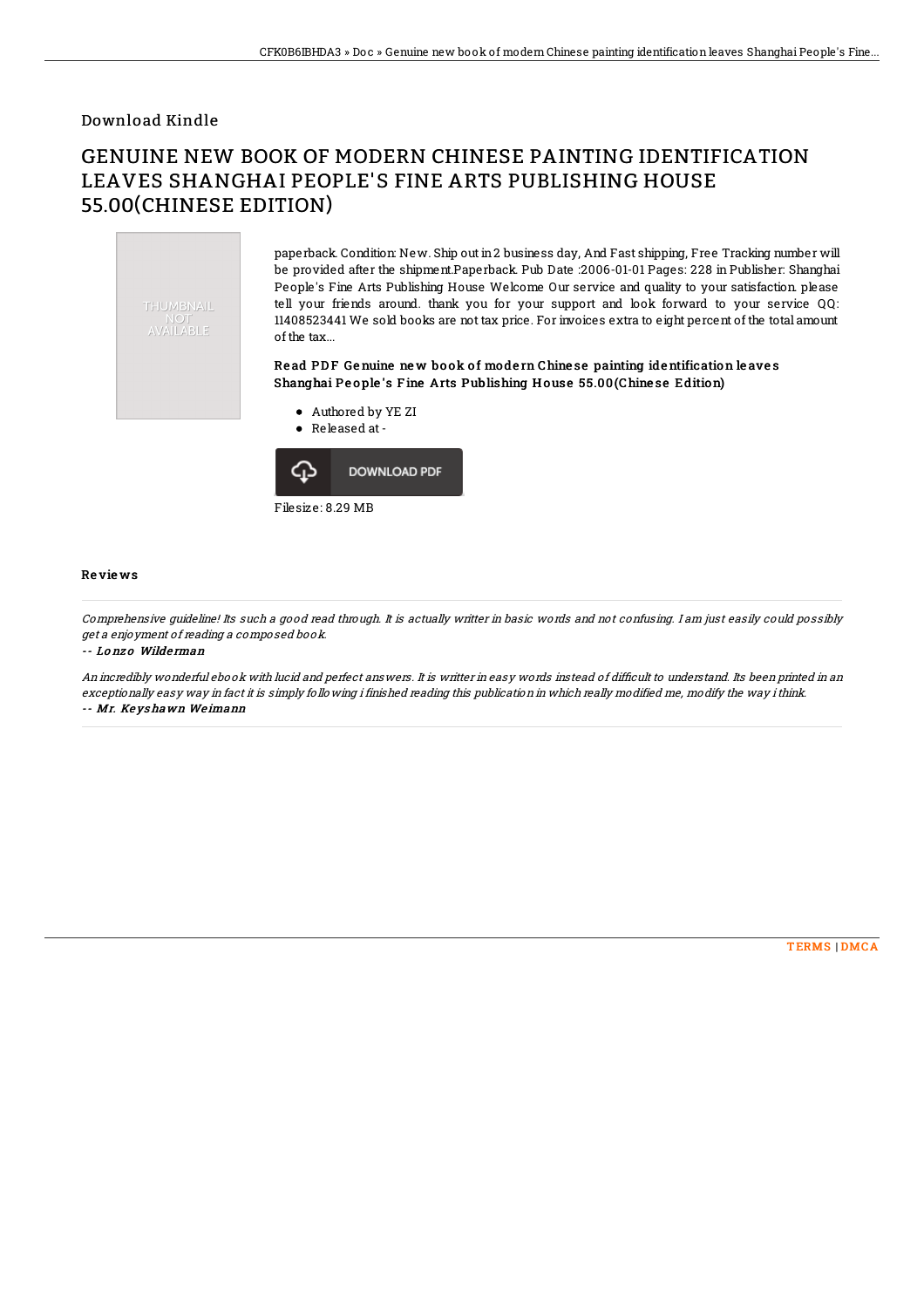## Download Kindle

# GENUINE NEW BOOK OF MODERN CHINESE PAINTING IDENTIFICATION LEAVES SHANGHAI PEOPLE'S FINE ARTS PUBLISHING HOUSE 55.00(CHINESE EDITION)



paperback. Condition: New. Ship out in2 business day, And Fast shipping, Free Tracking number will be provided after the shipment.Paperback. Pub Date :2006-01-01 Pages: 228 in Publisher: Shanghai People's Fine Arts Publishing House Welcome Our service and quality to your satisfaction. please tell your friends around. thank you for your support and look forward to your service QQ: 11408523441 We sold books are not tax price. For invoices extra to eight percent of the total amount of the tax...

### Read PDF Genuine new book of modern Chinese painting identification leaves Shanghai People's Fine Arts Publishing House 55.00(Chinese Edition)

- Authored by YE ZI
- Released at-



#### Re vie ws

Comprehensive guideline! Its such <sup>a</sup> good read through. It is actually writter in basic words and not confusing. I am just easily could possibly get <sup>a</sup> enjoyment of reading <sup>a</sup> composed book.

-- Lo nz o Wilde rman

An incredibly wonderful ebook with lucid and perfect answers. It is writter in easy words instead of difficult to understand. Its been printed in an exceptionally easy way in fact it is simply following i finished reading this publication in which really modified me, modify the way ithink. -- Mr. Ke ys hawn We imann